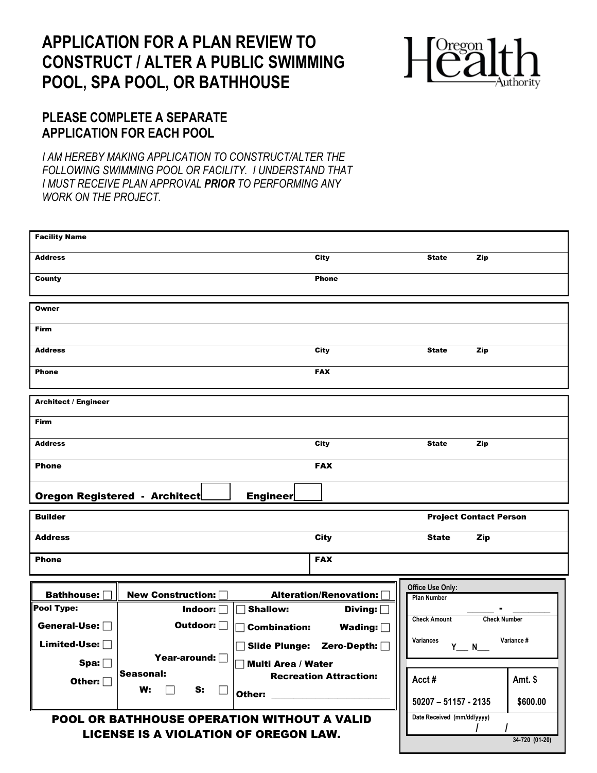## **APPLICATION FOR A PLAN REVIEW TO CONSTRUCT / ALTER A PUBLIC SWIMMING POOL, SPA POOL, OR BATHHOUSE**



## **PLEASE COMPLETE A SEPARATE APPLICATION FOR EACH POOL**

*I AM HEREBY MAKING APPLICATION TO CONSTRUCT/ALTER THE FOLLOWING SWIMMING POOL OR FACILITY. I UNDERSTAND THAT I MUST RECEIVE PLAN APPROVAL PRIOR TO PERFORMING ANY WORK ON THE PROJECT.*

| <b>Facility Name</b>                         |                                      |                           |                               |                               |                     |  |
|----------------------------------------------|--------------------------------------|---------------------------|-------------------------------|-------------------------------|---------------------|--|
| <b>Address</b>                               |                                      |                           | City                          | <b>State</b>                  | Zip                 |  |
| <b>County</b>                                |                                      |                           | <b>Phone</b>                  |                               |                     |  |
|                                              |                                      |                           |                               |                               |                     |  |
| Owner                                        |                                      |                           |                               |                               |                     |  |
| Firm                                         |                                      |                           |                               |                               |                     |  |
| <b>Address</b>                               |                                      |                           | <b>City</b>                   | <b>State</b>                  | Zip                 |  |
| <b>Phone</b>                                 |                                      |                           | <b>FAX</b>                    |                               |                     |  |
|                                              |                                      |                           |                               |                               |                     |  |
| <b>Architect / Engineer</b>                  |                                      |                           |                               |                               |                     |  |
| Firm                                         |                                      |                           |                               |                               |                     |  |
| <b>Address</b>                               |                                      |                           | <b>City</b>                   | <b>State</b>                  | Zip                 |  |
| <b>Phone</b>                                 |                                      |                           | <b>FAX</b>                    |                               |                     |  |
|                                              | <b>Oregon Registered - Architect</b> | <b>Engineer</b>           |                               |                               |                     |  |
| <b>Builder</b>                               |                                      |                           |                               | <b>Project Contact Person</b> |                     |  |
| <b>Address</b>                               |                                      |                           | <b>City</b>                   | <b>State</b>                  | Zip                 |  |
| <b>Phone</b>                                 |                                      |                           | <b>FAX</b>                    |                               |                     |  |
|                                              |                                      |                           |                               | Office Use Only:              |                     |  |
| Bathhouse: [                                 | <b>New Construction:</b>             |                           | Alteration/Renovation:        | <b>Plan Number</b>            |                     |  |
| Pool Type:                                   | Indoor: $\Box$                       | <b>Shallow:</b><br>П      | Diving:                       |                               |                     |  |
| General-Use: $\Box$                          | Outdoor: O                           | <b>Combination:</b><br>┓  | Wading: $\square$             | <b>Check Amount</b>           | <b>Check Number</b> |  |
| Limited-Use: □                               |                                      | <b>Slide Plunge:</b>      | Zero-Depth: [                 | Variances<br>$Y$ N            | Variance #          |  |
| Spin [                                       | Year-around: $\Box$                  | <b>Multi Area / Water</b> |                               |                               |                     |  |
|                                              | Seasonal:                            |                           | <b>Recreation Attraction:</b> |                               |                     |  |
| Other: $\Box$                                | W:<br>S:                             |                           |                               | Acct#                         | Amt. \$             |  |
|                                              | $\mathbf{L}$                         | Other:                    |                               | $50207 - 51157 - 2135$        | \$600.00            |  |
| POOL OR BATHHOUSE OPERATION WITHOUT A VALID  |                                      |                           |                               | Date Received (mm/dd/yyyy)    |                     |  |
| <b>LICENSE IS A VIOLATION OF OREGON LAW.</b> |                                      |                           |                               |                               |                     |  |
|                                              |                                      |                           |                               |                               | 34-720 (01-20)      |  |